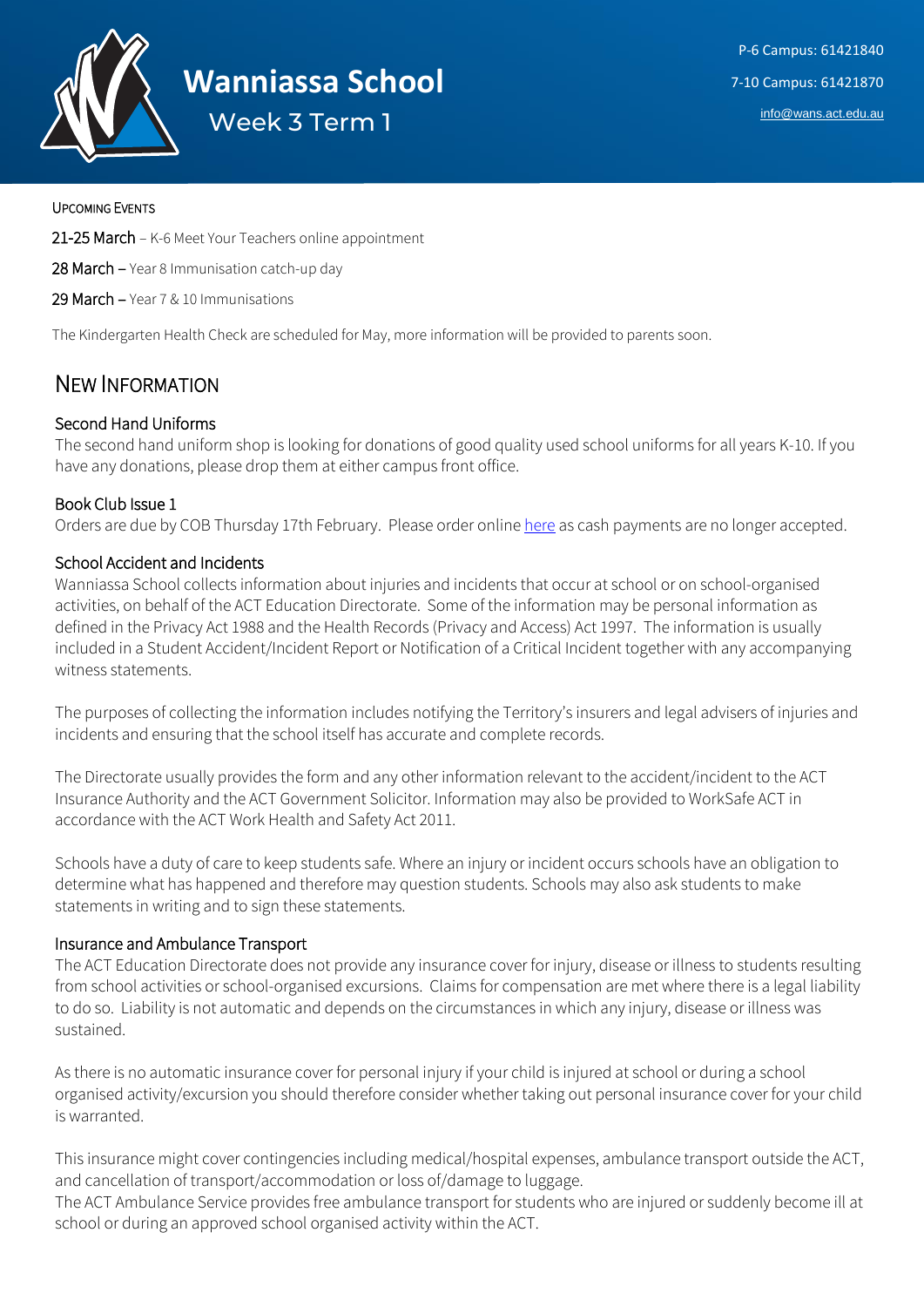

#### UPCOMING EVENTS

21-25 March – K-6 Meet Your Teachers online appointment

28 March – Year 8 Immunisation catch-up day

29 March – Year 7 & 10 Immunisations

The Kindergarten Health Check are scheduled for May, more information will be provided to parents soon.

# NEW INFORMATION

## Second Hand Uniforms

The second hand uniform shop is looking for donations of good quality used school uniforms for all years K-10. If you have any donations, please drop them at either campus front office.

### Book Club Issue 1

Orders are due by COB Thursday 17th February. Please order online [here](https://mybookclubs.scholastic.com.au/PARENT/LOGIN.ASPX) as cash payments are no longer accepted.

#### School Accident and Incidents

Wanniassa School collects information about injuries and incidents that occur at school or on school-organised activities, on behalf of the ACT Education Directorate. Some of the information may be personal information as defined in the Privacy Act 1988 and the Health Records (Privacy and Access) Act 1997. The information is usually included in a Student Accident/Incident Report or Notification of a Critical Incident together with any accompanying witness statements.

The purposes of collecting the information includes notifying the Territory's insurers and legal advisers of injuries and incidents and ensuring that the school itself has accurate and complete records.

The Directorate usually provides the form and any other information relevant to the accident/incident to the ACT Insurance Authority and the ACT Government Solicitor. Information may also be provided to WorkSafe ACT in accordance with the ACT Work Health and Safety Act 2011.

Schools have a duty of care to keep students safe. Where an injury or incident occurs schools have an obligation to determine what has happened and therefore may question students. Schools may also ask students to make statements in writing and to sign these statements.

#### Insurance and Ambulance Transport

The ACT Education Directorate does not provide any insurance cover for injury, disease or illness to students resulting from school activities or school-organised excursions. Claims for compensation are met where there is a legal liability to do so. Liability is not automatic and depends on the circumstances in which any injury, disease or illness was sustained.

As there is no automatic insurance cover for personal injury if your child is injured at school or during a school organised activity/excursion you should therefore consider whether taking out personal insurance cover for your child is warranted.

This insurance might cover contingencies including medical/hospital expenses, ambulance transport outside the ACT, and cancellation of transport/accommodation or loss of/damage to luggage.

The ACT Ambulance Service provides free ambulance transport for students who are injured or suddenly become ill at school or during an approved school organised activity within the ACT.